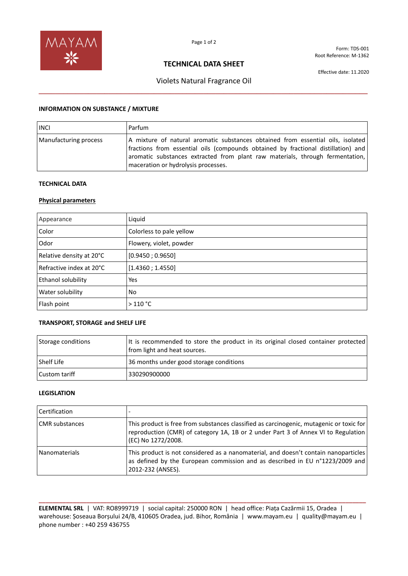

Form: TDS-001 Root Reference: M-1362

## **TECHNICAL DATA SHEET**

Violets Natural Fragrance Oil **\_\_\_\_\_\_\_\_\_\_\_\_\_\_\_\_\_\_\_\_\_\_\_\_\_\_\_\_\_\_\_\_\_\_\_\_\_\_\_\_\_\_\_\_\_\_\_\_\_\_\_\_\_\_\_\_\_\_\_\_\_\_\_\_\_\_\_\_\_\_\_\_\_\_\_\_\_\_\_\_**

Effective date: 11.2020

### **INFORMATION ON SUBSTANCE / MIXTURE**

| <b>INCI</b>           | Parfum                                                                                                                                                                                                                                                                                       |
|-----------------------|----------------------------------------------------------------------------------------------------------------------------------------------------------------------------------------------------------------------------------------------------------------------------------------------|
| Manufacturing process | A mixture of natural aromatic substances obtained from essential oils, isolated<br>fractions from essential oils (compounds obtained by fractional distillation) and<br>aromatic substances extracted from plant raw materials, through fermentation,<br>maceration or hydrolysis processes. |

#### **TECHNICAL DATA**

#### **Physical parameters**

| Appearance               | Liquid                   |
|--------------------------|--------------------------|
| Color                    | Colorless to pale yellow |
| Odor                     | Flowery, violet, powder  |
| Relative density at 20°C | [0.9450; 0.9650]         |
| Refractive index at 20°C | [1.4360; 1.4550]         |
| Ethanol solubility       | Yes                      |
| Water solubility         | No.                      |
| Flash point              | $>110$ °C                |

#### **TRANSPORT, STORAGE and SHELF LIFE**

| Storage conditions | It is recommended to store the product in its original closed container protected<br>from light and heat sources. |
|--------------------|-------------------------------------------------------------------------------------------------------------------|
| Shelf Life         | 36 months under good storage conditions                                                                           |
| Custom tariff      | 330290900000                                                                                                      |

#### **LEGISLATION**

| Certification         |                                                                                                                                                                                                    |
|-----------------------|----------------------------------------------------------------------------------------------------------------------------------------------------------------------------------------------------|
| <b>CMR</b> substances | This product is free from substances classified as carcinogenic, mutagenic or toxic for<br>reproduction (CMR) of category 1A, 1B or 2 under Part 3 of Annex VI to Regulation<br>(EC) No 1272/2008. |
| Nanomaterials         | This product is not considered as a nanomaterial, and doesn't contain nanoparticles<br>as defined by the European commission and as described in EU n°1223/2009 and<br>2012-232 (ANSES).           |

**\_\_\_\_\_\_\_\_\_\_\_\_\_\_\_\_\_\_\_\_\_\_\_\_\_\_\_\_\_\_\_\_\_\_\_\_\_\_\_\_\_\_\_\_\_\_\_\_\_\_\_\_\_\_\_\_\_\_\_\_\_\_\_\_\_\_\_\_\_\_\_\_\_\_\_\_\_\_\_\_\_\_\_\_\_\_\_\_\_\_\_\_\_\_\_\_ ELEMENTAL SRL** | VAT: RO8999719 | social capital: 250000 RON | head office: Piața Cazărmii 15, Oradea | warehouse: Șoseaua Borșului 24/B, 410605 Oradea, jud. Bihor, România | www.mayam.eu | quality@mayam.eu | phone number : +40 259 436755